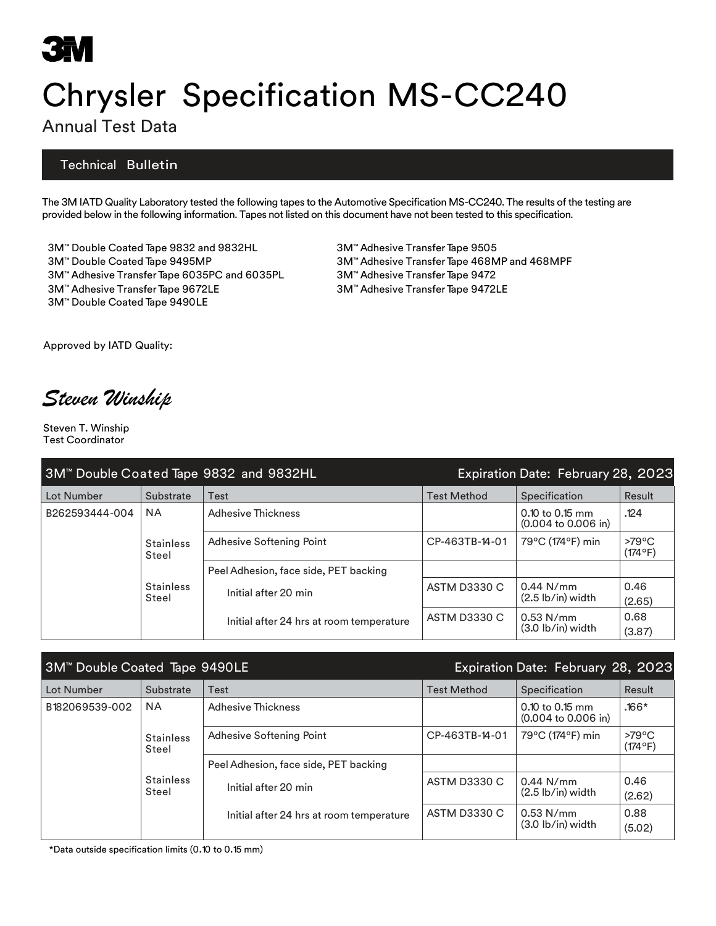# Chrysler Specification MS-CC240

### Annual Test Data

#### Technical Bulletin

The 3M IATD Quality Laboratory tested the following tapes to the Automotive Specification MS-CC240. The results of the testing are provided below in the following information. Tapes not listed on this document have not been tested to this specification.

3M™ Double Coated Tape 9832 and 9832HL 3M™ Adhesive TransferTape 9505 3M™ Double Coated Tape 9495MP 3M™ Adhesive TransferTape 468MP and 468MPF 3M™ Adhesive Transfer Tape 6035PC and 6035PL 3M™ Adhesive Transfer Tape 9472 3M™ Adhesive TransferTape 9672LE 3M™ Adhesive TransferTape 9472LE 3M™ Double Coated Tape 9490LE

Approved by IATD Quality:

*Steven Winship*

Steven T. Winship Test Coordinator

| 3M™ Double Coated Tape 9832 and 9832HL |                                                        |                                          | Expiration Date: February 28, 2023 |                                                             |                                     |
|----------------------------------------|--------------------------------------------------------|------------------------------------------|------------------------------------|-------------------------------------------------------------|-------------------------------------|
| Lot Number                             | Substrate                                              | Test                                     | <b>Test Method</b>                 | Specification                                               | Result                              |
| B262593444-004                         | <b>NA</b>                                              | Adhesive Thickness                       |                                    | $0.10$ to 0.15 mm<br>$(0.004 \text{ to } 0.006 \text{ in})$ | .124                                |
|                                        | <b>Stainless</b><br>Steel<br><b>Stainless</b><br>Steel | Adhesive Softening Point                 | CP-463TB-14-01                     | 79°C (174°F) min                                            | $>79^{\circ}$ C<br>$(174^{\circ}F)$ |
|                                        |                                                        | Peel Adhesion, face side, PET backing    |                                    |                                                             |                                     |
|                                        |                                                        | Initial after 20 min                     | <b>ASTM D3330 C</b>                | $0.44$ N/mm                                                 | 0.46                                |
|                                        |                                                        |                                          |                                    | $(2.5 \, lb/in)$ width                                      | (2.65)                              |
|                                        |                                                        | Initial after 24 hrs at room temperature | <b>ASTM D3330 C</b>                | $0.53$ N/mm                                                 | 0.68                                |
|                                        |                                                        |                                          |                                    | $(3.0 \text{ lb/in})$ width                                 | (3.87)                              |

| 3M <sup>™</sup> Double Coated Tape 9490LE |                           |                                          | Expiration Date: February 28, 2023 |                                                             |                                     |
|-------------------------------------------|---------------------------|------------------------------------------|------------------------------------|-------------------------------------------------------------|-------------------------------------|
| Lot Number                                | Substrate                 | Test                                     | <b>Test Method</b>                 | Specification                                               | Result                              |
| B182069539-002                            | <b>NA</b>                 | Adhesive Thickness                       |                                    | $0.10$ to 0.15 mm<br>$(0.004 \text{ to } 0.006 \text{ in})$ | $.166*$                             |
|                                           | <b>Stainless</b><br>Steel | Adhesive Softening Point                 | CP-463TB-14-01                     | 79°C (174°F) min                                            | $>79^{\circ}$ C<br>$(174^{\circ}F)$ |
|                                           |                           | Peel Adhesion, face side, PET backing    |                                    |                                                             |                                     |
|                                           | <b>Stainless</b>          | Initial after 20 min                     | <b>ASTM D3330 C</b>                | $0.44$ N/mm                                                 | 0.46                                |
|                                           | Steel                     |                                          |                                    | $(2.5 \, lb/in)$ width                                      | (2.62)                              |
|                                           |                           | Initial after 24 hrs at room temperature | <b>ASTM D3330 C</b>                | $0.53$ N/mm<br>$(3.0 \text{ lb/in})$ width                  | 0.88<br>(5.02)                      |

\*Data outside specification limits (0.10 to 0.15 mm)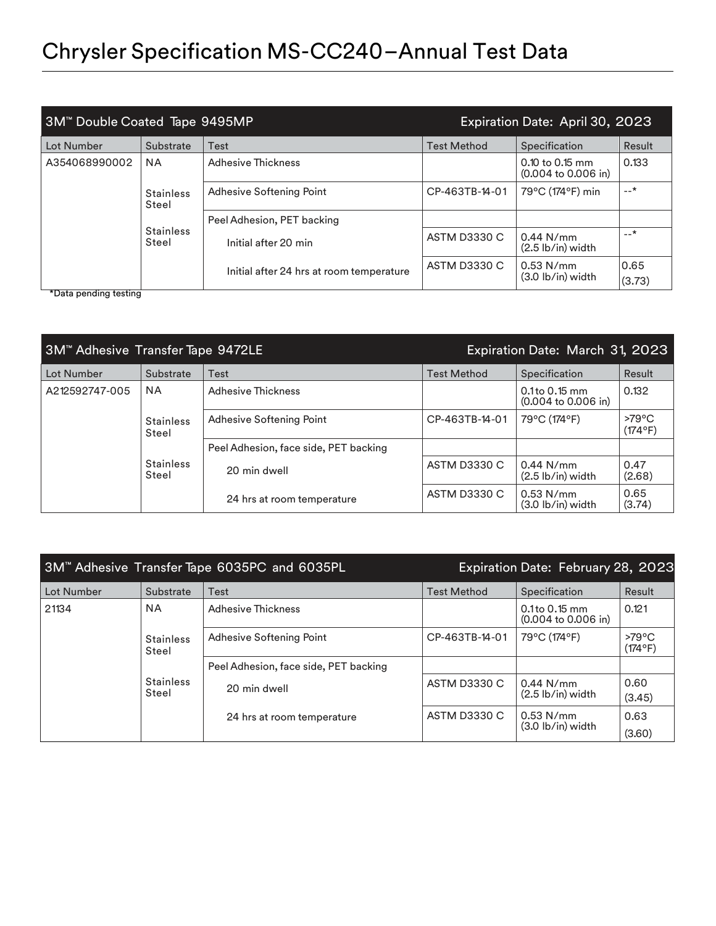| 3M <sup>™</sup> Double Coated Tape 9495MP |                           | Expiration Date: April 30, 2023          |                     |                                                             |        |
|-------------------------------------------|---------------------------|------------------------------------------|---------------------|-------------------------------------------------------------|--------|
| Lot Number                                | Substrate                 | Test                                     | <b>Test Method</b>  | Specification                                               | Result |
| A354068990002                             | <b>NA</b>                 | <b>Adhesive Thickness</b>                |                     | $0.10$ to 0.15 mm<br>$(0.004 \text{ to } 0.006 \text{ in})$ | 0.133  |
|                                           | <b>Stainless</b><br>Steel | Adhesive Softening Point                 | CP-463TB-14-01      | 79°C (174°F) min                                            | $-$ *  |
|                                           | <b>Stainless</b><br>Steel | Peel Adhesion, PET backing               |                     |                                                             |        |
|                                           |                           | Initial after 20 min                     | <b>ASTM D3330 C</b> | $0.44$ N/mm<br>$(2.5 \, lb/in)$ width                       | $-+$   |
|                                           |                           | Initial after 24 hrs at room temperature | <b>ASTM D3330 C</b> | $0.53$ N/mm                                                 | 0.65   |
| $*$ Doto ponding tooting                  |                           |                                          |                     | $(3.0 \text{ lb/in})$ width                                 | (3.73) |

\*Data pending testing

| 3M™ Adhesive Transfer Tape 9472LE |                           | Expiration Date: March 31, 2023       |                     |                                                            |                            |
|-----------------------------------|---------------------------|---------------------------------------|---------------------|------------------------------------------------------------|----------------------------|
| Lot Number                        | Substrate                 | Test                                  | <b>Test Method</b>  | Specification                                              | Result                     |
| A212592747-005                    | <b>NA</b>                 | Adhesive Thickness                    |                     | $0.1$ to 0.15 mm<br>$(0.004 \text{ to } 0.006 \text{ in})$ | 0.132                      |
|                                   | <b>Stainless</b><br>Steel | Adhesive Softening Point              | CP-463TB-14-01      | 79°C (174°F)                                               | $>79^{\circ}$ C<br>(174°F) |
|                                   |                           | Peel Adhesion, face side, PET backing |                     |                                                            |                            |
|                                   | <b>Stainless</b><br>Steel | 20 min dwell                          | <b>ASTM D3330 C</b> | $0.44$ N/mm<br>$(2.5 \, lb/in)$ width                      | 0.47<br>(2.68)             |
|                                   |                           | 24 hrs at room temperature            | <b>ASTM D3330 C</b> | $0.53$ N/mm<br>$(3.0 \text{ lb/in})$ width                 | 0.65<br>(3.74)             |

| 3M™ Adhesive Transfer Tape 6035PC and 6035PL |                           |                                       | Expiration Date: February 28, 2023 |                                                            |                            |
|----------------------------------------------|---------------------------|---------------------------------------|------------------------------------|------------------------------------------------------------|----------------------------|
| Lot Number                                   | Substrate                 | Test                                  | <b>Test Method</b>                 | Specification                                              | Result                     |
| 21134                                        | <b>NA</b>                 | <b>Adhesive Thickness</b>             |                                    | $0.1$ to 0.15 mm<br>$(0.004 \text{ to } 0.006 \text{ in})$ | 0.121                      |
|                                              | <b>Stainless</b><br>Steel | Adhesive Softening Point              | CP-463TB-14-01                     | 79°C (174°F)                                               | $>79^{\circ}$ C<br>(174°F) |
|                                              |                           | Peel Adhesion, face side, PET backing |                                    |                                                            |                            |
|                                              | <b>Stainless</b>          | 20 min dwell                          | <b>ASTM D3330 C</b>                | $0.44$ N/mm                                                | 0.60                       |
|                                              | Steel                     |                                       |                                    | $(2.5 \text{ lb/in})$ width                                | (3.45)                     |
|                                              |                           | 24 hrs at room temperature            | <b>ASTM D3330 C</b>                | $0.53$ N/mm                                                | 0.63                       |
|                                              |                           |                                       |                                    | $(3.0 \text{ lb/in})$ width                                | (3.60)                     |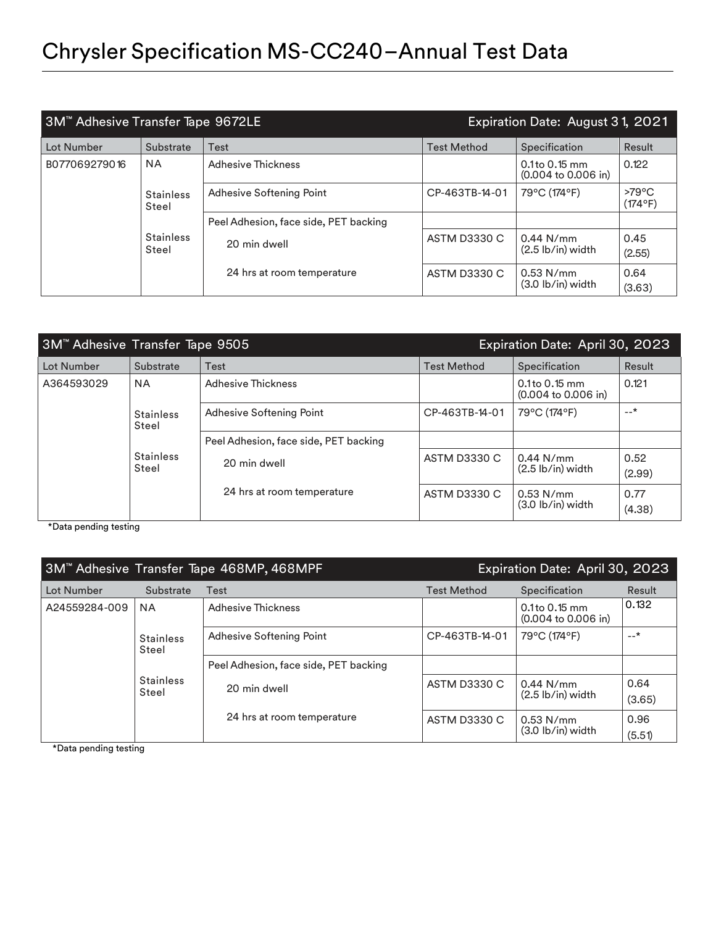| 3M <sup>™</sup> Adhesive Transfer Tape 9672LE |                           | Expiration Date: August 31, 2021      |                     |                                                            |                            |
|-----------------------------------------------|---------------------------|---------------------------------------|---------------------|------------------------------------------------------------|----------------------------|
| Lot Number                                    | Substrate                 | Test                                  | <b>Test Method</b>  | Specification                                              | Result                     |
| B077069279016                                 | <b>NA</b>                 | Adhesive Thickness                    |                     | $0.1$ to 0.15 mm<br>$(0.004 \text{ to } 0.006 \text{ in})$ | 0.122                      |
|                                               | <b>Stainless</b><br>Steel | Adhesive Softening Point              | CP-463TB-14-01      | 79°C (174°F)                                               | $>79^{\circ}$ C<br>(174°F) |
|                                               |                           | Peel Adhesion, face side, PET backing |                     |                                                            |                            |
|                                               | <b>Stainless</b><br>Steel | 20 min dwell                          | <b>ASTM D3330 C</b> | $0.44$ N/mm<br>$(2.5 \, lb/in)$ width                      | 0.45<br>(2.55)             |
|                                               |                           | 24 hrs at room temperature            | <b>ASTM D3330 C</b> | $0.53$ N/mm<br>$(3.0 \text{ lb/in})$ width                 | 0.64<br>(3.63)             |

| 3M™ Adhesive Transfer Tape 9505 |                           |                                       |                     | Expiration Date: April 30, 2023                            |        |
|---------------------------------|---------------------------|---------------------------------------|---------------------|------------------------------------------------------------|--------|
| Lot Number                      | Substrate                 | Test                                  | <b>Test Method</b>  | Specification                                              | Result |
| A364593029                      | <b>NA</b>                 | Adhesive Thickness                    |                     | $0.1$ to 0.15 mm<br>$(0.004 \text{ to } 0.006 \text{ in})$ | 0.121  |
|                                 | <b>Stainless</b><br>Steel | Adhesive Softening Point              | CP-463TB-14-01      | 79°C (174°F)                                               | $-+$   |
|                                 |                           | Peel Adhesion, face side, PET backing |                     |                                                            |        |
|                                 | Stainless<br>Steel        | 20 min dwell                          | <b>ASTM D3330 C</b> | $0.44$ N/mm                                                | 0.52   |
|                                 |                           |                                       |                     | $(2.5 \, lb/in)$ width                                     | (2.99) |
|                                 |                           | 24 hrs at room temperature            | <b>ASTM D3330 C</b> | $0.53$ N/mm<br>$(3.0 \text{ lb/in})$ width                 | 0.77   |
|                                 |                           |                                       |                     |                                                            | (4.38) |

\*Data pending testing

| 3M™ Adhesive Transfer Tape 468MP, 468MPF                                             |           |                                       |                     | Expiration Date: April 30, 2023                              |        |
|--------------------------------------------------------------------------------------|-----------|---------------------------------------|---------------------|--------------------------------------------------------------|--------|
| Lot Number                                                                           | Substrate | Test                                  | <b>Test Method</b>  | Specification                                                | Result |
| A24559284-009<br><b>NA</b><br><b>Stainless</b><br>Steel<br><b>Stainless</b><br>Steel |           | <b>Adhesive Thickness</b>             |                     | $0.1$ to $0.15$ mm<br>$(0.004 \text{ to } 0.006 \text{ in})$ | 0.132  |
|                                                                                      |           | Adhesive Softening Point              | CP-463TB-14-01      | 79°C (174°F)                                                 | $-+$   |
|                                                                                      |           | Peel Adhesion, face side, PET backing |                     |                                                              |        |
|                                                                                      |           | 20 min dwell                          | <b>ASTM D3330 C</b> | $0.44$ N/mm                                                  | 0.64   |
|                                                                                      |           |                                       |                     | $(2.5 \, lb/in)$ width                                       | (3.65) |
|                                                                                      |           | 24 hrs at room temperature            | <b>ASTM D3330 C</b> | $0.53$ N/mm                                                  | 0.96   |
|                                                                                      |           |                                       |                     | $(3.0$ lb/in) width                                          | (5.51) |

\*Data pending testing